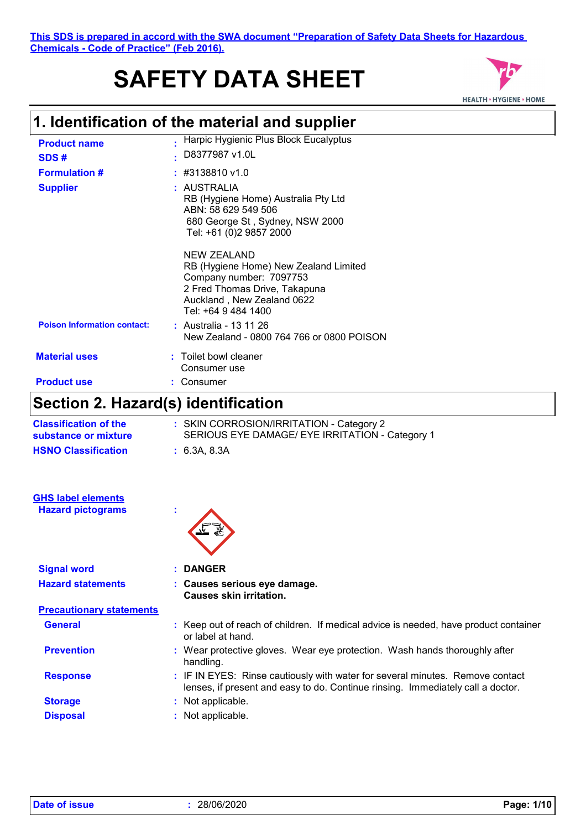# **SAFETY DATA SHEET**



# **1. Identification of the material and supplier**

| <b>Product name</b><br>SDS#        | Harpic Hygienic Plus Block Eucalyptus<br>D8377987 v1.0L                                                                                                               |
|------------------------------------|-----------------------------------------------------------------------------------------------------------------------------------------------------------------------|
| <b>Formulation #</b>               | $\div$ #3138810 v1.0                                                                                                                                                  |
| <b>Supplier</b>                    | : AUSTRALIA<br>RB (Hygiene Home) Australia Pty Ltd<br>ABN: 58 629 549 506<br>680 George St, Sydney, NSW 2000<br>Tel: +61 (0)2 9857 2000                               |
|                                    | NEW ZEALAND<br>RB (Hygiene Home) New Zealand Limited<br>Company number: 7097753<br>2 Fred Thomas Drive, Takapuna<br>Auckland, New Zealand 0622<br>Tel: +64 9 484 1400 |
| <b>Poison Information contact:</b> | : Australia - 13 11 26<br>New Zealand - 0800 764 766 or 0800 POISON                                                                                                   |
| <b>Material uses</b>               | : Toilet bowl cleaner<br>Consumer use                                                                                                                                 |
| <b>Product use</b>                 | Consumer                                                                                                                                                              |

### **Section 2. Hazard(s) identification**

| <b>Classification of the</b><br>substance or mixture | : SKIN CORROSION/IRRITATION - Category 2<br>SERIOUS EYE DAMAGE/ EYE IRRITATION - Category 1 |
|------------------------------------------------------|---------------------------------------------------------------------------------------------|
| <b>HSNO Classification</b>                           | : 6.3A, 8.3A                                                                                |
|                                                      |                                                                                             |
| <b>GHS label elements</b>                            |                                                                                             |
| <b>Hazard pictograms</b>                             | ٠<br>×.                                                                                     |
| <b>Signal word</b>                                   | <b>DANGER</b>                                                                               |
|                                                      |                                                                                             |
| <b>Hazard statements</b>                             | : Causes serious eye damage.                                                                |

| : Causes serious eye damage.   |
|--------------------------------|
| <b>Causes skin irritation.</b> |

| <b>Precautionary statements</b> |                                                                                                                                                                  |
|---------------------------------|------------------------------------------------------------------------------------------------------------------------------------------------------------------|
| <b>General</b>                  | : Keep out of reach of children. If medical advice is needed, have product container<br>or label at hand.                                                        |
| <b>Prevention</b>               | : Wear protective gloves. Wear eye protection. Wash hands thoroughly after<br>handling.                                                                          |
| <b>Response</b>                 | : IF IN EYES: Rinse cautiously with water for several minutes. Remove contact<br>lenses, if present and easy to do. Continue rinsing. Immediately call a doctor. |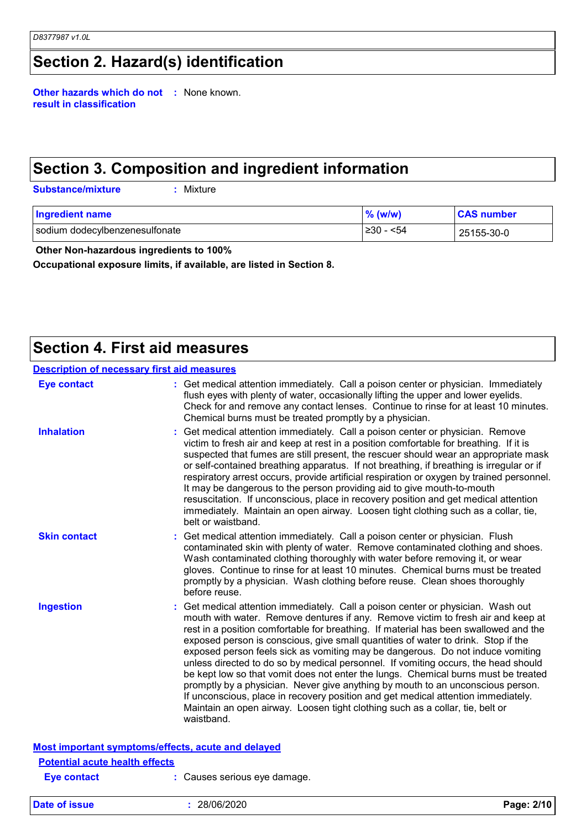# **Section 2. Hazard(s) identification**

**Other hazards which do not :** None known. **result in classification**

### **Section 3. Composition and ingredient information**

**Substance/mixture :**

: Mixture

| <b>Ingredient name</b>         | $%$ (w/w)  | <b>CAS number</b> |
|--------------------------------|------------|-------------------|
| sodium dodecylbenzenesulfonate | ⊩≥30 - <54 | 25155-30-0        |

 **Other Non-hazardous ingredients to 100%**

**Occupational exposure limits, if available, are listed in Section 8.**

### **Section 4. First aid measures**

| <b>Description of necessary first aid measures</b>                                                                                                                                                                                                                                                                                                                                                                                                                                                                                                                                                                                                                                                                                                                                                                                                                                   |
|--------------------------------------------------------------------------------------------------------------------------------------------------------------------------------------------------------------------------------------------------------------------------------------------------------------------------------------------------------------------------------------------------------------------------------------------------------------------------------------------------------------------------------------------------------------------------------------------------------------------------------------------------------------------------------------------------------------------------------------------------------------------------------------------------------------------------------------------------------------------------------------|
| : Get medical attention immediately. Call a poison center or physician. Immediately<br>flush eyes with plenty of water, occasionally lifting the upper and lower eyelids.<br>Check for and remove any contact lenses. Continue to rinse for at least 10 minutes.<br>Chemical burns must be treated promptly by a physician.                                                                                                                                                                                                                                                                                                                                                                                                                                                                                                                                                          |
| Get medical attention immediately. Call a poison center or physician. Remove<br>victim to fresh air and keep at rest in a position comfortable for breathing. If it is<br>suspected that fumes are still present, the rescuer should wear an appropriate mask<br>or self-contained breathing apparatus. If not breathing, if breathing is irregular or if<br>respiratory arrest occurs, provide artificial respiration or oxygen by trained personnel.<br>It may be dangerous to the person providing aid to give mouth-to-mouth<br>resuscitation. If unconscious, place in recovery position and get medical attention<br>immediately. Maintain an open airway. Loosen tight clothing such as a collar, tie,<br>belt or waistband.                                                                                                                                                  |
| Get medical attention immediately. Call a poison center or physician. Flush<br>contaminated skin with plenty of water. Remove contaminated clothing and shoes.<br>Wash contaminated clothing thoroughly with water before removing it, or wear<br>gloves. Continue to rinse for at least 10 minutes. Chemical burns must be treated<br>promptly by a physician. Wash clothing before reuse. Clean shoes thoroughly<br>before reuse.                                                                                                                                                                                                                                                                                                                                                                                                                                                  |
| Get medical attention immediately. Call a poison center or physician. Wash out<br>mouth with water. Remove dentures if any. Remove victim to fresh air and keep at<br>rest in a position comfortable for breathing. If material has been swallowed and the<br>exposed person is conscious, give small quantities of water to drink. Stop if the<br>exposed person feels sick as vomiting may be dangerous. Do not induce vomiting<br>unless directed to do so by medical personnel. If vomiting occurs, the head should<br>be kept low so that vomit does not enter the lungs. Chemical burns must be treated<br>promptly by a physician. Never give anything by mouth to an unconscious person.<br>If unconscious, place in recovery position and get medical attention immediately.<br>Maintain an open airway. Loosen tight clothing such as a collar, tie, belt or<br>waistband. |
|                                                                                                                                                                                                                                                                                                                                                                                                                                                                                                                                                                                                                                                                                                                                                                                                                                                                                      |

**Eye contact :** Causes serious eye damage.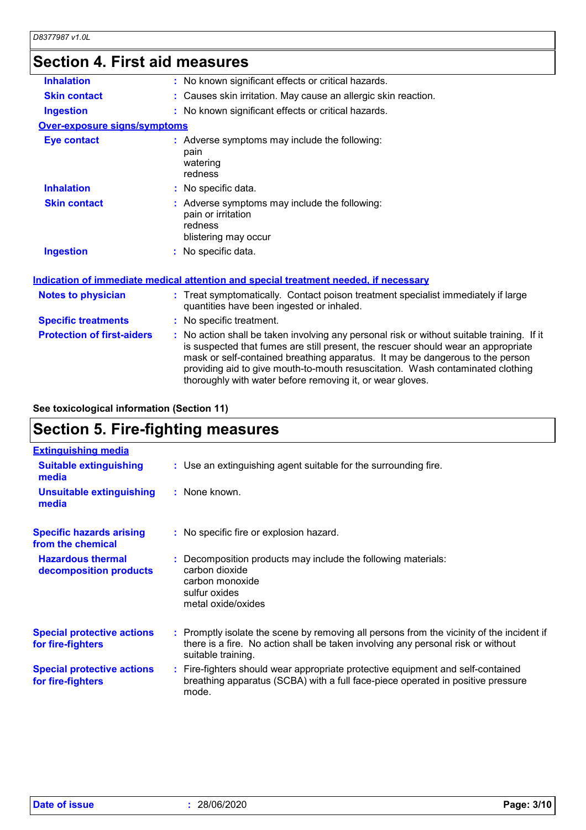### **Section 4. First aid measures**

| <b>Inhalation</b><br>: No known significant effects or critical hazards.<br><b>Skin contact</b><br>: Causes skin irritation. May cause an allergic skin reaction.<br>: No known significant effects or critical hazards.<br><b>Ingestion</b><br>Over-exposure signs/symptoms<br>: Adverse symptoms may include the following:<br><b>Eye contact</b><br>pain<br>watering<br>redness<br><b>Inhalation</b><br>: No specific data.<br>: Adverse symptoms may include the following:<br><b>Skin contact</b><br>pain or irritation<br>redness<br>blistering may occur<br><b>Ingestion</b><br>: No specific data.<br>Indication of immediate medical attention and special treatment needed, if necessary<br>: Treat symptomatically. Contact poison treatment specialist immediately if large<br><b>Notes to physician</b><br>quantities have been ingested or inhaled.<br><b>Specific treatments</b><br>: No specific treatment.<br><b>Protection of first-aiders</b><br>: No action shall be taken involving any personal risk or without suitable training. If it<br>is suspected that fumes are still present, the rescuer should wear an appropriate<br>mask or self-contained breathing apparatus. It may be dangerous to the person<br>providing aid to give mouth-to-mouth resuscitation. Wash contaminated clothing<br>thoroughly with water before removing it, or wear gloves. | טטווסטווו דו וויד וויד ווי |  |
|-------------------------------------------------------------------------------------------------------------------------------------------------------------------------------------------------------------------------------------------------------------------------------------------------------------------------------------------------------------------------------------------------------------------------------------------------------------------------------------------------------------------------------------------------------------------------------------------------------------------------------------------------------------------------------------------------------------------------------------------------------------------------------------------------------------------------------------------------------------------------------------------------------------------------------------------------------------------------------------------------------------------------------------------------------------------------------------------------------------------------------------------------------------------------------------------------------------------------------------------------------------------------------------------------------------------------------------------------------------------------------------|----------------------------|--|
|                                                                                                                                                                                                                                                                                                                                                                                                                                                                                                                                                                                                                                                                                                                                                                                                                                                                                                                                                                                                                                                                                                                                                                                                                                                                                                                                                                                     |                            |  |
|                                                                                                                                                                                                                                                                                                                                                                                                                                                                                                                                                                                                                                                                                                                                                                                                                                                                                                                                                                                                                                                                                                                                                                                                                                                                                                                                                                                     |                            |  |
|                                                                                                                                                                                                                                                                                                                                                                                                                                                                                                                                                                                                                                                                                                                                                                                                                                                                                                                                                                                                                                                                                                                                                                                                                                                                                                                                                                                     |                            |  |
|                                                                                                                                                                                                                                                                                                                                                                                                                                                                                                                                                                                                                                                                                                                                                                                                                                                                                                                                                                                                                                                                                                                                                                                                                                                                                                                                                                                     |                            |  |
|                                                                                                                                                                                                                                                                                                                                                                                                                                                                                                                                                                                                                                                                                                                                                                                                                                                                                                                                                                                                                                                                                                                                                                                                                                                                                                                                                                                     |                            |  |
|                                                                                                                                                                                                                                                                                                                                                                                                                                                                                                                                                                                                                                                                                                                                                                                                                                                                                                                                                                                                                                                                                                                                                                                                                                                                                                                                                                                     |                            |  |
|                                                                                                                                                                                                                                                                                                                                                                                                                                                                                                                                                                                                                                                                                                                                                                                                                                                                                                                                                                                                                                                                                                                                                                                                                                                                                                                                                                                     |                            |  |
|                                                                                                                                                                                                                                                                                                                                                                                                                                                                                                                                                                                                                                                                                                                                                                                                                                                                                                                                                                                                                                                                                                                                                                                                                                                                                                                                                                                     |                            |  |
|                                                                                                                                                                                                                                                                                                                                                                                                                                                                                                                                                                                                                                                                                                                                                                                                                                                                                                                                                                                                                                                                                                                                                                                                                                                                                                                                                                                     |                            |  |
|                                                                                                                                                                                                                                                                                                                                                                                                                                                                                                                                                                                                                                                                                                                                                                                                                                                                                                                                                                                                                                                                                                                                                                                                                                                                                                                                                                                     |                            |  |
|                                                                                                                                                                                                                                                                                                                                                                                                                                                                                                                                                                                                                                                                                                                                                                                                                                                                                                                                                                                                                                                                                                                                                                                                                                                                                                                                                                                     |                            |  |
|                                                                                                                                                                                                                                                                                                                                                                                                                                                                                                                                                                                                                                                                                                                                                                                                                                                                                                                                                                                                                                                                                                                                                                                                                                                                                                                                                                                     |                            |  |

**See toxicological information (Section 11)**

# **Section 5. Fire-fighting measures**

| <b>Extinguishing media</b>                             |                                                                                                                                                                                                     |
|--------------------------------------------------------|-----------------------------------------------------------------------------------------------------------------------------------------------------------------------------------------------------|
| <b>Suitable extinguishing</b><br>media                 | : Use an extinguishing agent suitable for the surrounding fire.                                                                                                                                     |
| <b>Unsuitable extinguishing</b><br>media               | : None known.                                                                                                                                                                                       |
| <b>Specific hazards arising</b><br>from the chemical   | : No specific fire or explosion hazard.                                                                                                                                                             |
| <b>Hazardous thermal</b><br>decomposition products     | : Decomposition products may include the following materials:<br>carbon dioxide<br>carbon monoxide<br>sulfur oxides<br>metal oxide/oxides                                                           |
| <b>Special protective actions</b><br>for fire-fighters | : Promptly isolate the scene by removing all persons from the vicinity of the incident if<br>there is a fire. No action shall be taken involving any personal risk or without<br>suitable training. |
| <b>Special protective actions</b><br>for fire-fighters | : Fire-fighters should wear appropriate protective equipment and self-contained<br>breathing apparatus (SCBA) with a full face-piece operated in positive pressure<br>mode.                         |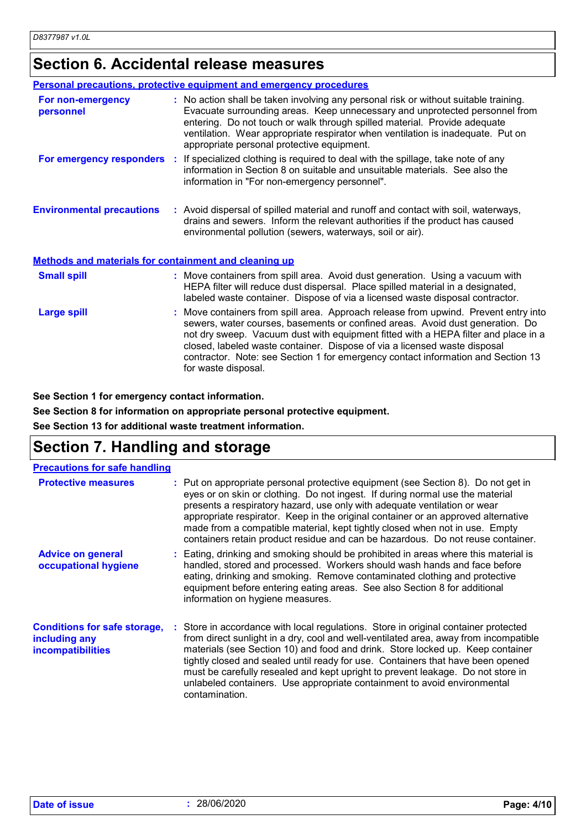### **Section 6. Accidental release measures**

|                                                              | <b>Personal precautions, protective equipment and emergency procedures</b>                                                                                                                                                                                                                                                                                                                                                                         |
|--------------------------------------------------------------|----------------------------------------------------------------------------------------------------------------------------------------------------------------------------------------------------------------------------------------------------------------------------------------------------------------------------------------------------------------------------------------------------------------------------------------------------|
| For non-emergency<br>personnel                               | : No action shall be taken involving any personal risk or without suitable training.<br>Evacuate surrounding areas. Keep unnecessary and unprotected personnel from<br>entering. Do not touch or walk through spilled material. Provide adequate<br>ventilation. Wear appropriate respirator when ventilation is inadequate. Put on<br>appropriate personal protective equipment.                                                                  |
|                                                              | For emergency responders : If specialized clothing is required to deal with the spillage, take note of any<br>information in Section 8 on suitable and unsuitable materials. See also the<br>information in "For non-emergency personnel".                                                                                                                                                                                                         |
| <b>Environmental precautions</b>                             | : Avoid dispersal of spilled material and runoff and contact with soil, waterways,<br>drains and sewers. Inform the relevant authorities if the product has caused<br>environmental pollution (sewers, waterways, soil or air).                                                                                                                                                                                                                    |
| <b>Methods and materials for containment and cleaning up</b> |                                                                                                                                                                                                                                                                                                                                                                                                                                                    |
| <b>Small spill</b>                                           | : Move containers from spill area. Avoid dust generation. Using a vacuum with<br>HEPA filter will reduce dust dispersal. Place spilled material in a designated,<br>labeled waste container. Dispose of via a licensed waste disposal contractor.                                                                                                                                                                                                  |
| <b>Large spill</b>                                           | : Move containers from spill area. Approach release from upwind. Prevent entry into<br>sewers, water courses, basements or confined areas. Avoid dust generation. Do<br>not dry sweep. Vacuum dust with equipment fitted with a HEPA filter and place in a<br>closed, labeled waste container. Dispose of via a licensed waste disposal<br>contractor. Note: see Section 1 for emergency contact information and Section 13<br>for waste disposal. |

**See Section 1 for emergency contact information.**

**See Section 8 for information on appropriate personal protective equipment.**

**See Section 13 for additional waste treatment information.**

#### **Section 7. Handling and storage**

| <b>Precautions for safe handling</b>                                             |                                                                                                                                                                                                                                                                                                                                                                                                                                                                                                                                   |
|----------------------------------------------------------------------------------|-----------------------------------------------------------------------------------------------------------------------------------------------------------------------------------------------------------------------------------------------------------------------------------------------------------------------------------------------------------------------------------------------------------------------------------------------------------------------------------------------------------------------------------|
| <b>Protective measures</b>                                                       | : Put on appropriate personal protective equipment (see Section 8). Do not get in<br>eyes or on skin or clothing. Do not ingest. If during normal use the material<br>presents a respiratory hazard, use only with adequate ventilation or wear<br>appropriate respirator. Keep in the original container or an approved alternative<br>made from a compatible material, kept tightly closed when not in use. Empty<br>containers retain product residue and can be hazardous. Do not reuse container.                            |
| <b>Advice on general</b><br>occupational hygiene                                 | : Eating, drinking and smoking should be prohibited in areas where this material is<br>handled, stored and processed. Workers should wash hands and face before<br>eating, drinking and smoking. Remove contaminated clothing and protective<br>equipment before entering eating areas. See also Section 8 for additional<br>information on hygiene measures.                                                                                                                                                                     |
| <b>Conditions for safe storage,</b><br>including any<br><b>incompatibilities</b> | : Store in accordance with local regulations. Store in original container protected<br>from direct sunlight in a dry, cool and well-ventilated area, away from incompatible<br>materials (see Section 10) and food and drink. Store locked up. Keep container<br>tightly closed and sealed until ready for use. Containers that have been opened<br>must be carefully resealed and kept upright to prevent leakage. Do not store in<br>unlabeled containers. Use appropriate containment to avoid environmental<br>contamination. |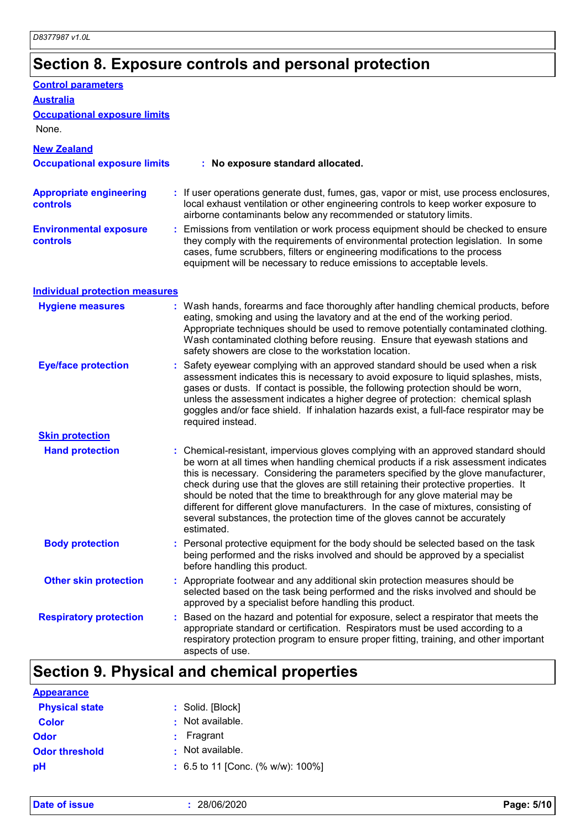# **Section 8. Exposure controls and personal protection**

| <b>Control parameters</b>                         |                                                                                                                                                                                                                                                                                                                                                                                                                                                                                                                                                                                                                           |
|---------------------------------------------------|---------------------------------------------------------------------------------------------------------------------------------------------------------------------------------------------------------------------------------------------------------------------------------------------------------------------------------------------------------------------------------------------------------------------------------------------------------------------------------------------------------------------------------------------------------------------------------------------------------------------------|
| <b>Australia</b>                                  |                                                                                                                                                                                                                                                                                                                                                                                                                                                                                                                                                                                                                           |
| <b>Occupational exposure limits</b><br>None.      |                                                                                                                                                                                                                                                                                                                                                                                                                                                                                                                                                                                                                           |
| <b>New Zealand</b>                                |                                                                                                                                                                                                                                                                                                                                                                                                                                                                                                                                                                                                                           |
| <b>Occupational exposure limits</b>               | : No exposure standard allocated.                                                                                                                                                                                                                                                                                                                                                                                                                                                                                                                                                                                         |
| <b>Appropriate engineering</b><br><b>controls</b> | : If user operations generate dust, fumes, gas, vapor or mist, use process enclosures,<br>local exhaust ventilation or other engineering controls to keep worker exposure to<br>airborne contaminants below any recommended or statutory limits.                                                                                                                                                                                                                                                                                                                                                                          |
| <b>Environmental exposure</b><br><b>controls</b>  | : Emissions from ventilation or work process equipment should be checked to ensure<br>they comply with the requirements of environmental protection legislation. In some<br>cases, fume scrubbers, filters or engineering modifications to the process<br>equipment will be necessary to reduce emissions to acceptable levels.                                                                                                                                                                                                                                                                                           |
| <b>Individual protection measures</b>             |                                                                                                                                                                                                                                                                                                                                                                                                                                                                                                                                                                                                                           |
| <b>Hygiene measures</b>                           | : Wash hands, forearms and face thoroughly after handling chemical products, before<br>eating, smoking and using the lavatory and at the end of the working period.<br>Appropriate techniques should be used to remove potentially contaminated clothing.<br>Wash contaminated clothing before reusing. Ensure that eyewash stations and<br>safety showers are close to the workstation location.                                                                                                                                                                                                                         |
| <b>Eye/face protection</b>                        | Safety eyewear complying with an approved standard should be used when a risk<br>assessment indicates this is necessary to avoid exposure to liquid splashes, mists,<br>gases or dusts. If contact is possible, the following protection should be worn,<br>unless the assessment indicates a higher degree of protection: chemical splash<br>goggles and/or face shield. If inhalation hazards exist, a full-face respirator may be<br>required instead.                                                                                                                                                                 |
| <b>Skin protection</b>                            |                                                                                                                                                                                                                                                                                                                                                                                                                                                                                                                                                                                                                           |
| <b>Hand protection</b>                            | : Chemical-resistant, impervious gloves complying with an approved standard should<br>be worn at all times when handling chemical products if a risk assessment indicates<br>this is necessary. Considering the parameters specified by the glove manufacturer,<br>check during use that the gloves are still retaining their protective properties. It<br>should be noted that the time to breakthrough for any glove material may be<br>different for different glove manufacturers. In the case of mixtures, consisting of<br>several substances, the protection time of the gloves cannot be accurately<br>estimated. |
| <b>Body protection</b>                            | : Personal protective equipment for the body should be selected based on the task<br>being performed and the risks involved and should be approved by a specialist<br>before handling this product.                                                                                                                                                                                                                                                                                                                                                                                                                       |
| <b>Other skin protection</b>                      | : Appropriate footwear and any additional skin protection measures should be<br>selected based on the task being performed and the risks involved and should be<br>approved by a specialist before handling this product.                                                                                                                                                                                                                                                                                                                                                                                                 |
| <b>Respiratory protection</b>                     | : Based on the hazard and potential for exposure, select a respirator that meets the<br>appropriate standard or certification. Respirators must be used according to a<br>respiratory protection program to ensure proper fitting, training, and other important<br>aspects of use.                                                                                                                                                                                                                                                                                                                                       |

# **Section 9. Physical and chemical properties**

| <b>Appearance</b>     |                                       |
|-----------------------|---------------------------------------|
| <b>Physical state</b> | : Solid. [Block]                      |
| <b>Color</b>          | : Not available.                      |
| Odor                  | Fragrant<br>÷.                        |
| <b>Odor threshold</b> | : Not available.                      |
| рH                    | : 6.5 to 11 [Conc. (% w/w): $100\%$ ] |

**Date of issue :** 28/06/2020 **Page: 5/10**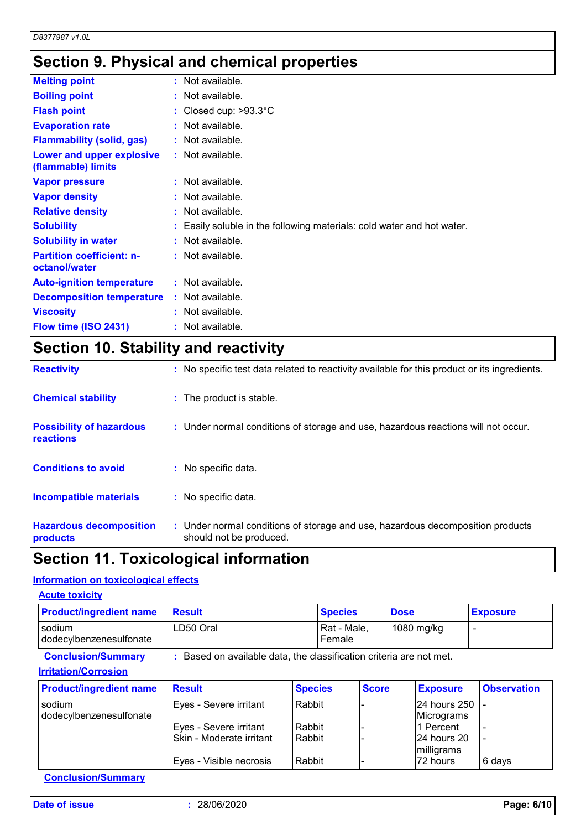# **Section 9. Physical and chemical properties**

| <b>Melting point</b>                              | $:$ Not available.                                                   |
|---------------------------------------------------|----------------------------------------------------------------------|
| <b>Boiling point</b>                              | $:$ Not available.                                                   |
| <b>Flash point</b>                                | : Closed cup: $>93.3^{\circ}$ C                                      |
| <b>Evaporation rate</b>                           | $:$ Not available.                                                   |
| <b>Flammability (solid, gas)</b>                  | $:$ Not available.                                                   |
| Lower and upper explosive<br>(flammable) limits   | : Not available.                                                     |
| <b>Vapor pressure</b>                             | $:$ Not available.                                                   |
| <b>Vapor density</b>                              | $:$ Not available.                                                   |
| <b>Relative density</b>                           | $:$ Not available.                                                   |
| <b>Solubility</b>                                 | Easily soluble in the following materials: cold water and hot water. |
| <b>Solubility in water</b>                        | $:$ Not available.                                                   |
| <b>Partition coefficient: n-</b><br>octanol/water | $:$ Not available.                                                   |
| <b>Auto-ignition temperature</b>                  | $:$ Not available.                                                   |
| <b>Decomposition temperature</b>                  | $:$ Not available.                                                   |
| <b>Viscosity</b>                                  | $:$ Not available.                                                   |
| Flow time (ISO 2431)                              | Not available.                                                       |

# **Section 10. Stability and reactivity**

| <b>Reactivity</b>                            | : No specific test data related to reactivity available for this product or its ingredients.              |
|----------------------------------------------|-----------------------------------------------------------------------------------------------------------|
| <b>Chemical stability</b>                    | : The product is stable.                                                                                  |
| <b>Possibility of hazardous</b><br>reactions | : Under normal conditions of storage and use, hazardous reactions will not occur.                         |
| <b>Conditions to avoid</b>                   | : No specific data.                                                                                       |
| <b>Incompatible materials</b>                | : No specific data.                                                                                       |
| <b>Hazardous decomposition</b><br>products   | : Under normal conditions of storage and use, hazardous decomposition products<br>should not be produced. |

### **Section 11. Toxicological information**

#### **Information on toxicological effects**

| <b>Product/ingredient name</b>                           | <b>Result</b>                                                       |                | <b>Species</b>        |              | <b>Dose</b> |                            | <b>Exposure</b>    |
|----------------------------------------------------------|---------------------------------------------------------------------|----------------|-----------------------|--------------|-------------|----------------------------|--------------------|
| sodium<br>dodecylbenzenesulfonate                        | LD50 Oral                                                           |                | Rat - Male,<br>Female |              |             | 1080 mg/kg                 |                    |
| <b>Conclusion/Summary</b><br><b>Irritation/Corrosion</b> | : Based on available data, the classification criteria are not met. |                |                       |              |             |                            |                    |
| <b>Product/ingredient name</b>                           | <b>Result</b>                                                       | <b>Species</b> |                       | <b>Score</b> |             | <b>Exposure</b>            | <b>Observation</b> |
| sodium<br>dodecylbenzenesulfonate                        | Eyes - Severe irritant                                              | Rabbit         |                       |              |             | 24 hours 250<br>Micrograms |                    |
|                                                          | Eyes - Severe irritant                                              | Rabbit         |                       |              |             | 1 Percent                  |                    |
|                                                          |                                                                     |                |                       |              |             | 24 hours 20                |                    |
|                                                          | Skin - Moderate irritant                                            | l Rabbit       |                       |              |             | milligrams                 |                    |

**Conclusion/Summary**

**Date of issue :** 28/06/2020 **Page: 6/10**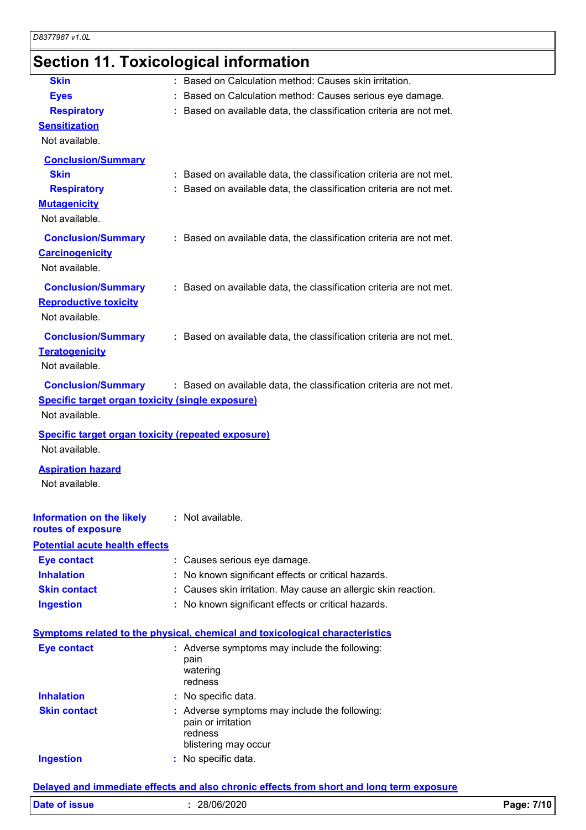# **Section 11. Toxicological information**

| <b>Skin</b>                                               |                                                                                     |
|-----------------------------------------------------------|-------------------------------------------------------------------------------------|
|                                                           | : Based on Calculation method: Causes skin irritation.                              |
| <b>Eyes</b>                                               | : Based on Calculation method: Causes serious eye damage.                           |
| <b>Respiratory</b>                                        | : Based on available data, the classification criteria are not met.                 |
| <b>Sensitization</b>                                      |                                                                                     |
| Not available.                                            |                                                                                     |
| <b>Conclusion/Summary</b>                                 |                                                                                     |
| <b>Skin</b>                                               | : Based on available data, the classification criteria are not met.                 |
| <b>Respiratory</b>                                        | : Based on available data, the classification criteria are not met.                 |
| <b>Mutagenicity</b>                                       |                                                                                     |
| Not available.                                            |                                                                                     |
| <b>Conclusion/Summary</b>                                 | : Based on available data, the classification criteria are not met.                 |
| <b>Carcinogenicity</b>                                    |                                                                                     |
| Not available.                                            |                                                                                     |
| <b>Conclusion/Summary</b>                                 | : Based on available data, the classification criteria are not met.                 |
| <b>Reproductive toxicity</b>                              |                                                                                     |
| Not available.                                            |                                                                                     |
| <b>Conclusion/Summary</b>                                 | : Based on available data, the classification criteria are not met.                 |
| <b>Teratogenicity</b>                                     |                                                                                     |
| Not available.                                            |                                                                                     |
| <b>Conclusion/Summary</b>                                 | : Based on available data, the classification criteria are not met.                 |
| Specific target organ toxicity (single exposure)          |                                                                                     |
| Not available.                                            |                                                                                     |
|                                                           |                                                                                     |
|                                                           |                                                                                     |
| <b>Specific target organ toxicity (repeated exposure)</b> |                                                                                     |
| Not available.                                            |                                                                                     |
| <b>Aspiration hazard</b>                                  |                                                                                     |
| Not available.                                            |                                                                                     |
|                                                           |                                                                                     |
| <b>Information on the likely</b><br>routes of exposure    | : Not available.                                                                    |
| <b>Potential acute health effects</b>                     |                                                                                     |
| <b>Eye contact</b>                                        | : Causes serious eye damage.                                                        |
| <b>Inhalation</b>                                         | : No known significant effects or critical hazards.                                 |
| <b>Skin contact</b>                                       | : Causes skin irritation. May cause an allergic skin reaction.                      |
| <b>Ingestion</b>                                          | : No known significant effects or critical hazards.                                 |
|                                                           |                                                                                     |
|                                                           | <b>Symptoms related to the physical, chemical and toxicological characteristics</b> |
| <b>Eye contact</b>                                        | : Adverse symptoms may include the following:                                       |
|                                                           | pain                                                                                |
|                                                           | watering<br>redness                                                                 |
| <b>Inhalation</b>                                         | : No specific data.                                                                 |
| <b>Skin contact</b>                                       | : Adverse symptoms may include the following:                                       |
|                                                           | pain or irritation                                                                  |
|                                                           | redness                                                                             |
| <b>Ingestion</b>                                          | blistering may occur<br>: No specific data.                                         |

#### **Delayed and immediate effects and also chronic effects from short and long term exposure**

| <b>Date of issue</b> | 28/06/2020 | 7/10<br>Page: |
|----------------------|------------|---------------|
|                      |            |               |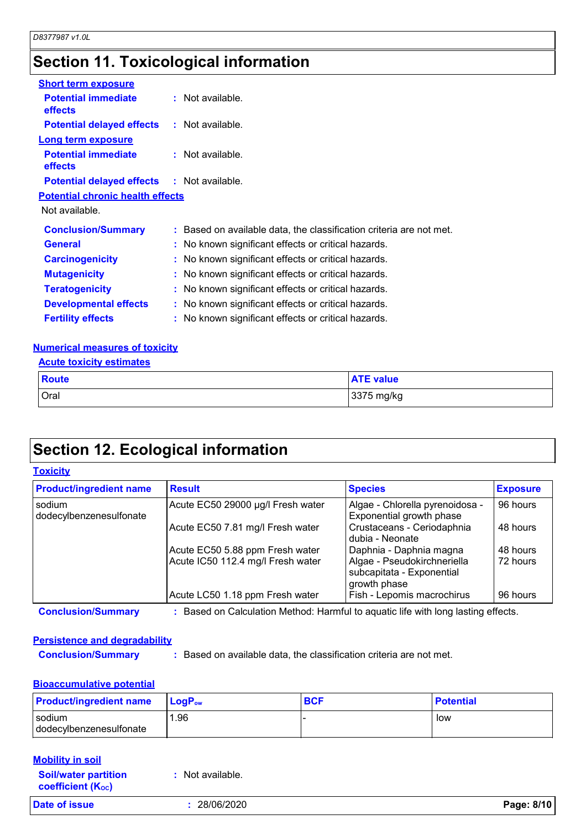# **Section 11. Toxicological information**

| <b>Short term exposure</b>                        |                                                                     |
|---------------------------------------------------|---------------------------------------------------------------------|
| <b>Potential immediate</b><br>effects             | $:$ Not available.                                                  |
| <b>Potential delayed effects : Not available.</b> |                                                                     |
| <b>Long term exposure</b>                         |                                                                     |
| <b>Potential immediate</b><br><b>effects</b>      | $:$ Not available.                                                  |
| <b>Potential delayed effects : Not available.</b> |                                                                     |
| <b>Potential chronic health effects</b>           |                                                                     |
| Not available.                                    |                                                                     |
| <b>Conclusion/Summary</b>                         | : Based on available data, the classification criteria are not met. |
| <b>General</b>                                    | : No known significant effects or critical hazards.                 |
| <b>Carcinogenicity</b>                            | : No known significant effects or critical hazards.                 |
| <b>Mutagenicity</b>                               | : No known significant effects or critical hazards.                 |
| <b>Teratogenicity</b>                             | : No known significant effects or critical hazards.                 |
| <b>Developmental effects</b>                      | : No known significant effects or critical hazards.                 |
| <b>Fertility effects</b>                          | : No known significant effects or critical hazards.                 |

#### **Numerical measures of toxicity**

|  | <b>Acute toxicity estimates</b> |  |
|--|---------------------------------|--|
|  |                                 |  |

| <b>Route</b> | <b>ATE value</b> |
|--------------|------------------|
| Oral         | 3375 mg/kg       |

# **Section 12. Ecological information**

#### **Toxicity**

| <b>Product/ingredient name</b>    | <b>Result</b>                                                                     | <b>Species</b>                                                           | <b>Exposure</b> |
|-----------------------------------|-----------------------------------------------------------------------------------|--------------------------------------------------------------------------|-----------------|
| sodium<br>dodecylbenzenesulfonate | Acute EC50 29000 µg/l Fresh water                                                 | Algae - Chlorella pyrenoidosa -<br>Exponential growth phase              | 96 hours        |
|                                   | Acute EC50 7.81 mg/l Fresh water                                                  | Crustaceans - Ceriodaphnia<br>dubia - Neonate                            | 48 hours        |
|                                   | Acute EC50 5.88 ppm Fresh water                                                   | Daphnia - Daphnia magna                                                  | 48 hours        |
|                                   | Acute IC50 112.4 mg/l Fresh water                                                 | Algae - Pseudokirchneriella<br>subcapitata - Exponential<br>growth phase | 72 hours        |
|                                   | Acute LC50 1.18 ppm Fresh water                                                   | Fish - Lepomis macrochirus                                               | 96 hours        |
| <b>Conclusion/Summary</b>         | : Based on Calculation Method: Harmful to aquatic life with long lasting effects. |                                                                          |                 |

#### **Persistence and degradability**

**Conclusion/Summary :** Based on available data, the classification criteria are not met.

#### **Bioaccumulative potential**

| <b>Product/ingredient name</b> | <b>LogP</b> <sub>ow</sub> | <b>BCF</b> | <b>Potential</b> |
|--------------------------------|---------------------------|------------|------------------|
| sodium                         | . 96                      |            | low              |
| dodecylbenzenesulfonate        |                           |            |                  |

| <b>Mobility in soil</b>                                 |                  |            |
|---------------------------------------------------------|------------------|------------|
| <b>Soil/water partition</b><br><b>coefficient (Koc)</b> | : Not available. |            |
| <b>Date of issue</b>                                    | 28/06/2020       | Page: 8/10 |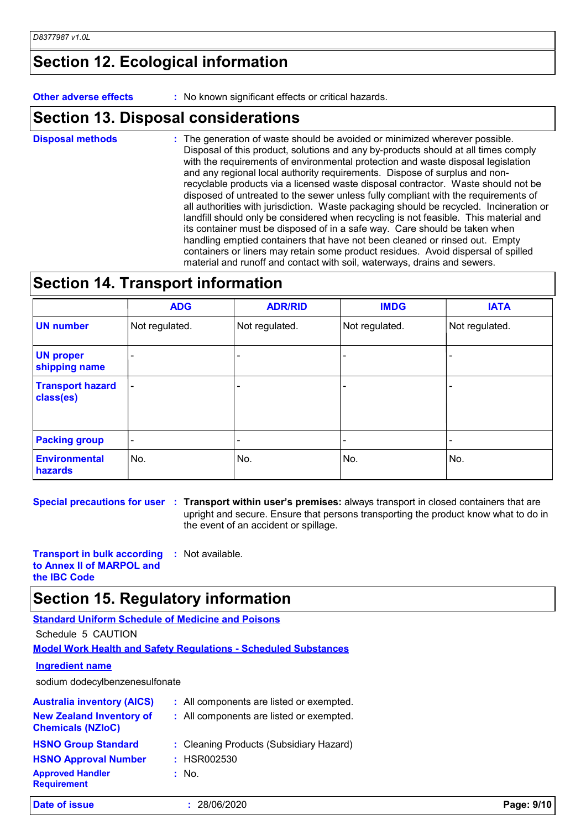### **Section 12. Ecological information**

**Other adverse effects :** No known significant effects or critical hazards.

### **Section 13. Disposal considerations**

The generation of waste should be avoided or minimized wherever possible. Disposal of this product, solutions and any by-products should at all times comply with the requirements of environmental protection and waste disposal legislation and any regional local authority requirements. Dispose of surplus and nonrecyclable products via a licensed waste disposal contractor. Waste should not be disposed of untreated to the sewer unless fully compliant with the requirements of all authorities with jurisdiction. Waste packaging should be recycled. Incineration or landfill should only be considered when recycling is not feasible. This material and its container must be disposed of in a safe way. Care should be taken when handling emptied containers that have not been cleaned or rinsed out. Empty containers or liners may retain some product residues. Avoid dispersal of spilled material and runoff and contact with soil, waterways, drains and sewers. **Disposal methods :**

## **Section 14. Transport information**

|                                      | <b>ADG</b>               | <b>ADR/RID</b> | <b>IMDG</b>    | <b>IATA</b>    |
|--------------------------------------|--------------------------|----------------|----------------|----------------|
| <b>UN number</b>                     | Not regulated.           | Not regulated. | Not regulated. | Not regulated. |
| <b>UN proper</b><br>shipping name    |                          |                |                |                |
| <b>Transport hazard</b><br>class(es) | $\overline{\phantom{a}}$ |                |                |                |
| <b>Packing group</b>                 | $\overline{\phantom{a}}$ |                |                |                |
| <b>Environmental</b><br>hazards      | No.                      | No.            | No.            | No.            |

**Special precautions for user Transport within user's premises:** always transport in closed containers that are **:** upright and secure. Ensure that persons transporting the product know what to do in the event of an accident or spillage.

**Transport in bulk according to Annex II of MARPOL and :** Not available.

**the IBC Code**

### **Section 15. Regulatory information**

#### **Standard Uniform Schedule of Medicine and Poisons**

Schedule 5 CAUTION

**Model Work Health and Safety Regulations - Scheduled Substances**

#### **Ingredient name**

sodium dodecylbenzenesulfonate

| Date of issue                                               | 28/06/2020                               | Page: 9/10 |
|-------------------------------------------------------------|------------------------------------------|------------|
| <b>Approved Handler</b><br><b>Requirement</b>               | : No.                                    |            |
| <b>HSNO Approval Number</b>                                 | : HSR002530                              |            |
| <b>HSNO Group Standard</b>                                  | : Cleaning Products (Subsidiary Hazard)  |            |
| <b>New Zealand Inventory of</b><br><b>Chemicals (NZIoC)</b> | : All components are listed or exempted. |            |
| <b>Australia inventory (AICS)</b>                           | : All components are listed or exempted. |            |